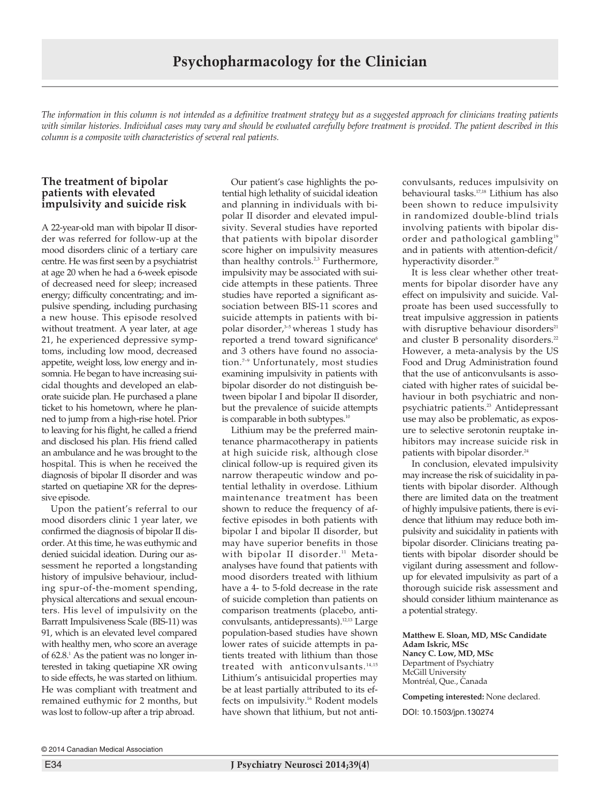The information in this column is not intended as a definitive treatment strategy but as a suggested approach for clinicians treating patients with similar histories. Individual cases may vary and should be evaluated carefully before treatment is provided. The patient described in this *column is a composite with characteristics of several real patients.*

## **The treatment of bipolar patients with elevated impulsivity and suicide risk**

A 22-year-old man with bipolar II disorder was referred for follow-up at the mood disorders clinic of a tertiary care centre. He was first seen by a psychiatrist at age 20 when he had a 6-week episode of decreased need for sleep; increased energy; difficulty concentrating; and impulsive spending, including purchasing a new house. This episode resolved without treatment. A year later, at age 21, he experienced depressive symptoms, including low mood, decreased appetite, weight loss, low energy and insomnia. He began to have increasing suicidal thoughts and developed an elaborate suicide plan. He purchased a plane ticket to his hometown, where he planned to jump from a high-rise hotel. Prior to leaving for his flight, he called a friend and disclosed his plan. His friend called an ambulance and he was brought to the hospital. This is when he received the diagnosis of bipolar II disorder and was started on quetiapine XR for the depressive episode.

Upon the patient's referral to our mood disorders clinic 1 year later, we confirmed the diagnosis of bipolar II disorder. At this time, he was euthymic and denied suicidal ideation. During our assessment he reported a longstanding history of impulsive behaviour, including spur-of-the-moment spending, physical altercations and sexual encounters. His level of impulsivity on the Barratt Impulsiveness Scale (BIS-11) was 91, which is an elevated level compared with healthy men, who score an average of 62.8. <sup>1</sup> As the patient was no longer interested in taking quetiapine XR owing to side effects, he was started on lithium. He was compliant with treatment and remained euthymic for 2 months, but was lost to follow-up after a trip abroad.

Our patient's case highlights the potential high lethality of suicidal ideation and planning in individuals with bipolar II disorder and elevated impulsivity. Several studies have reported that patients with bipolar disorder score higher on impulsivity measures than healthy controls.<sup>2,3</sup> Furthermore, impulsivity may be associated with suicide attempts in these patients. Three studies have reported a significant association between BIS-11 scores and suicide attempts in patients with bipolar disorder, 3–5 whereas 1 study has reported a trend toward significance<sup>6</sup> and 3 others have found no association. 7–9 Unfortunately, most studies examining impulsivity in patients with bipolar disorder do not distinguish between bipolar I and bipolar II disorder, but the prevalence of suicide attempts is comparable in both subtypes. 10

Lithium may be the preferred maintenance pharmacotherapy in patients at high suicide risk, although close clinical follow-up is required given its narrow therapeutic window and potential lethality in overdose. Lithium maintenance treatment has been shown to reduce the frequency of affective episodes in both patients with bipolar I and bipolar II disorder, but may have superior benefits in those with bipolar II disorder. <sup>11</sup> Metaanalyses have found that patients with mood disorders treated with lithium have a 4- to 5-fold decrease in the rate of suicide completion than patients on comparison treatments (placebo, anticonvulsants, antidepressants). 12,13 Large population-based studies have shown lower rates of suicide attempts in patients treated with lithium than those treated with anticonvulsants. 14,15 Lithium's antisuicidal properties may be at least partially attributed to its effects on impulsivity. <sup>16</sup> Rodent models have shown that lithium, but not anticonvulsants, reduces impulsivity on behavioural tasks. 17,18 Lithium has also been shown to reduce impulsivity in randomized double-blind trials involving patients with bipolar disorder and pathological gambling<sup>19</sup> and in patients with attention-deficit/ hyperactivity disorder. 20

It is less clear whether other treatments for bipolar disorder have any effect on impulsivity and suicide. Valproate has been used successfully to treat impulsive aggression in patients with disruptive behaviour disorders<sup>21</sup> and cluster B personality disorders. 22 However, a meta-analysis by the US Food and Drug Administration found that the use of anticonvulsants is associated with higher rates of suicidal behaviour in both psychiatric and nonpsychiatric patients. <sup>23</sup> Antidepressant use may also be problematic, as exposure to selective serotonin reuptake inhibitors may increase suicide risk in patients with bipolar disorder. 24

In conclusion, elevated impulsivity may increase the risk of suicidality in patients with bipolar disorder. Although there are limited data on the treatment of highly impulsive patients, there is evidence that lithium may reduce both impulsivity and suicidality in patients with bipolar disorder. Clinicians treating patients with bipolar disorder should be vigilant during assessment and followup for elevated impulsivity as part of a thorough suicide risk assessment and should consider lithium maintenance as a potential strategy.

**Matthew E. Sloan, MD, MSc Candidate Adam Iskric, MSc Nancy C. Low, MD, MSc** Department of Psychiatry McGill University Montréal, Que., Canada

**Competing interested:** None declared.

DOI: 10.1503/jpn.130274